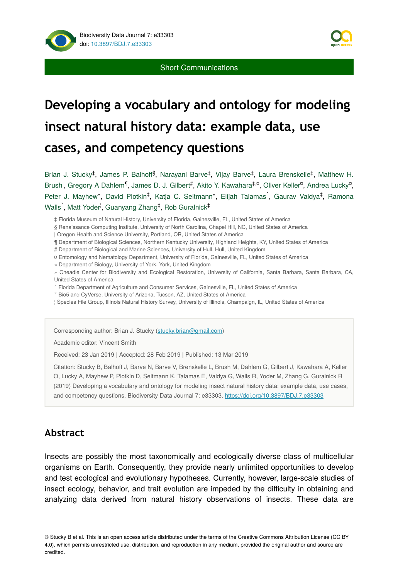

Short Communications

# **Developing a vocabulary and ontology for modeling insect natural history data: example data, use cases, and competency questions**

Brian J. Stucky<sup>‡</sup>, James P. Balhoff<sup>§</sup>, Narayani Barve<sup>‡</sup>, Vijay Barve<sup>‡</sup>, Laura Brenskelle<sup>‡</sup>, Matthew H. Brush<sup>I</sup>, Gregory A Dahlem<sup>¶</sup>, James D. J. Gilbert<sup>#</sup>, Akito Y. Kawahara<sup>‡, o</sup>, Oliver Keller<sup>o</sup>, Andrea Lucky<sup>o</sup>, Peter J. Mayhew", David Plotkin<sup>‡</sup>, Katja C. Seltmann", Elijah Talamas<sup>^</sup>, Gaurav Vaidya<sup>‡</sup>, Ramona Walls<sup>Y</sup>, Matt Yoder<sup>i</sup>, Guanyang Zhang<sup>‡</sup>, Rob Guralnick<sup>‡</sup>

‡ Florida Museum of Natural History, University of Florida, Gainesville, FL, United States of America

§ Renaissance Computing Institute, University of North Carolina, Chapel Hill, NC, United States of America

| Oregon Health and Science University, Portland, OR, United States of America

- ¶ Department of Biological Sciences, Northern Kentucky University, Highland Heights, KY, United States of America
- # Department of Biological and Marine Sciences, University of Hull, Hull, United Kingdom
- ¤ Entomology and Nematology Department, University of Florida, Gainesville, FL, United States of America
- « Department of Biology, University of York, York, United Kingdom
- » Cheadle Center for Biodiversity and Ecological Restoration, University of California, Santa Barbara, Santa Barbara, CA, United States of America
- ˄ Florida Department of Agriculture and Consumer Services, Gainesville, FL, United States of America
- ˅ Bio5 and CyVerse, University of Arizona, Tucson, AZ, United States of America
- ¦ Species File Group, Illinois Natural History Survey, University of Illinois, Champaign, IL, United States of America

Corresponding author: Brian J. Stucky [\(stucky.brian@gmail.com\)](mailto:stucky.brian@gmail.com)

Academic editor: Vincent Smith

Received: 23 Jan 2019 | Accepted: 28 Feb 2019 | Published: 13 Mar 2019

Citation: Stucky B, Balhoff J, Barve N, Barve V, Brenskelle L, Brush M, Dahlem G, Gilbert J, Kawahara A, Keller O, Lucky A, Mayhew P, Plotkin D, Seltmann K, Talamas E, Vaidya G, Walls R, Yoder M, Zhang G, Guralnick R (2019) Developing a vocabulary and ontology for modeling insect natural history data: example data, use cases, and competency questions. Biodiversity Data Journal 7: e33303.<https://doi.org/10.3897/BDJ.7.e33303>

# **Abstract**

Insects are possibly the most taxonomically and ecologically diverse class of multicellular organisms on Earth. Consequently, they provide nearly unlimited opportunities to develop and test ecological and evolutionary hypotheses. Currently, however, large-scale studies of insect ecology, behavior, and trait evolution are impeded by the difficulty in obtaining and analyzing data derived from natural history observations of insects. These data are

© Stucky B et al. This is an open access article distributed under the terms of the Creative Commons Attribution License (CC BY 4.0), which permits unrestricted use, distribution, and reproduction in any medium, provided the original author and source are credited.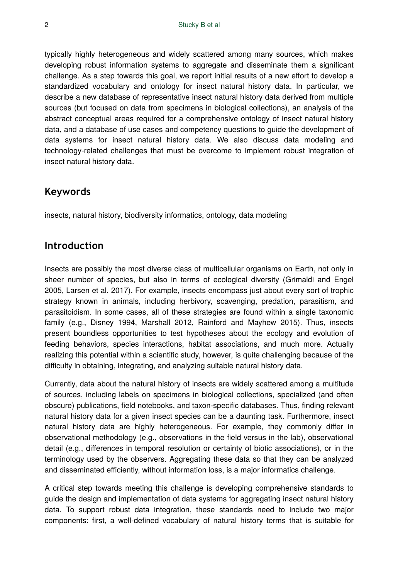typically highly heterogeneous and widely scattered among many sources, which makes developing robust information systems to aggregate and disseminate them a significant challenge. As a step towards this goal, we report initial results of a new effort to develop a standardized vocabulary and ontology for insect natural history data. In particular, we describe a new database of representative insect natural history data derived from multiple sources (but focused on data from specimens in biological collections), an analysis of the abstract conceptual areas required for a comprehensive ontology of insect natural history data, and a database of use cases and competency questions to guide the development of data systems for insect natural history data. We also discuss data modeling and technology-related challenges that must be overcome to implement robust integration of insect natural history data.

## **Keywords**

insects, natural history, biodiversity informatics, ontology, data modeling

## **Introduction**

Insects are possibly the most diverse class of multicellular organisms on Earth, not only in sheer number of species, but also in terms of ecological diversity (Grimaldi and Engel 2005, Larsen et al. 2017). For example, insects encompass just about every sort of trophic strategy known in animals, including herbivory, scavenging, predation, parasitism, and parasitoidism. In some cases, all of these strategies are found within a single taxonomic family (e.g., Disney 1994, Marshall 2012, Rainford and Mayhew 2015). Thus, insects present boundless opportunities to test hypotheses about the ecology and evolution of feeding behaviors, species interactions, habitat associations, and much more. Actually realizing this potential within a scientific study, however, is quite challenging because of the difficulty in obtaining, integrating, and analyzing suitable natural history data.

Currently, data about the natural history of insects are widely scattered among a multitude of sources, including labels on specimens in biological collections, specialized (and often obscure) publications, field notebooks, and taxon-specific databases. Thus, finding relevant natural history data for a given insect species can be a daunting task. Furthermore, insect natural history data are highly heterogeneous. For example, they commonly differ in observational methodology (e.g., observations in the field versus in the lab), observational detail (e.g., differences in temporal resolution or certainty of biotic associations), or in the terminology used by the observers. Aggregating these data so that they can be analyzed and disseminated efficiently, without information loss, is a major informatics challenge.

A critical step towards meeting this challenge is developing comprehensive standards to guide the design and implementation of data systems for aggregating insect natural history data. To support robust data integration, these standards need to include two major components: first, a well-defined vocabulary of natural history terms that is suitable for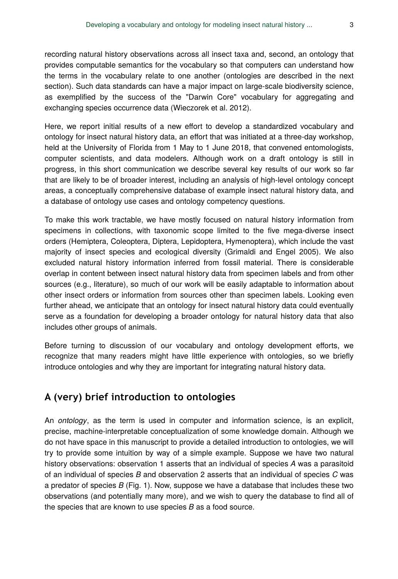recording natural history observations across all insect taxa and, second, an ontology that provides computable semantics for the vocabulary so that computers can understand how the terms in the vocabulary relate to one another (ontologies are described in the next section). Such data standards can have a major impact on large-scale biodiversity science, as exemplified by the success of the "Darwin Core" vocabulary for aggregating and exchanging species occurrence data (Wieczorek et al. 2012).

Here, we report initial results of a new effort to develop a standardized vocabulary and ontology for insect natural history data, an effort that was initiated at a three-day workshop, held at the University of Florida from 1 May to 1 June 2018, that convened entomologists, computer scientists, and data modelers. Although work on a draft ontology is still in progress, in this short communication we describe several key results of our work so far that are likely to be of broader interest, including an analysis of high-level ontology concept areas, a conceptually comprehensive database of example insect natural history data, and a database of ontology use cases and ontology competency questions.

To make this work tractable, we have mostly focused on natural history information from specimens in collections, with taxonomic scope limited to the five mega-diverse insect orders (Hemiptera, Coleoptera, Diptera, Lepidoptera, Hymenoptera), which include the vast majority of insect species and ecological diversity (Grimaldi and Engel 2005). We also excluded natural history information inferred from fossil material. There is considerable overlap in content between insect natural history data from specimen labels and from other sources (e.g., literature), so much of our work will be easily adaptable to information about other insect orders or information from sources other than specimen labels. Looking even further ahead, we anticipate that an ontology for insect natural history data could eventually serve as a foundation for developing a broader ontology for natural history data that also includes other groups of animals.

Before turning to discussion of our vocabulary and ontology development efforts, we recognize that many readers might have little experience with ontologies, so we briefly introduce ontologies and why they are important for integrating natural history data.

# **A (very) brief introduction to ontologies**

An *ontology*, as the term is used in computer and information science, is an explicit, precise, machine-interpretable conceptualization of some knowledge domain. Although we do not have space in this manuscript to provide a detailed introduction to ontologies, we will try to provide some intuition by way of a simple example. Suppose we have two natural history observations: observation 1 asserts that an individual of species *A* was a parasitoid of an individual of species *B* and observation 2 asserts that an individual of species *C* was a predator of species *B* (Fig. 1). Now, suppose we have a database that includes these two observations (and potentially many more), and we wish to query the database to find all of the species that are known to use species *B* as a food source.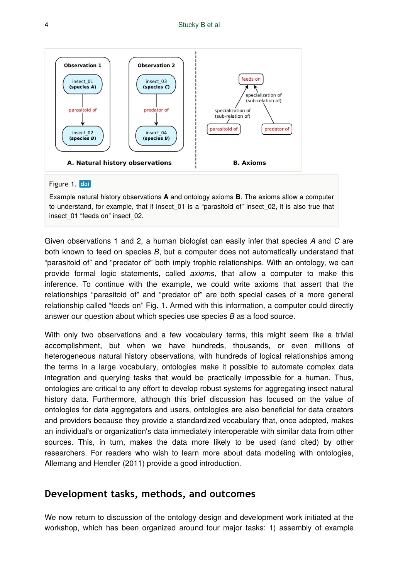

#### Figure 1. doi

Example natural history observations **A** and ontology axioms **B**. The axioms allow a computer to understand, for example, that if insect 01 is a "parasitoid of" insect 02, it is also true that insect\_01 "feeds on" insect\_02.

Given observations 1 and 2, a human biologist can easily infer that species *A* and *C* are both known to feed on species *B*, but a computer does not automatically understand that "parasitoid of" and "predator of" both imply trophic relationships. With an ontology, we can provide formal logic statements, called *axioms*, that allow a computer to make this inference. To continue with the example, we could write axioms that assert that the relationships "parasitoid of" and "predator of" are both special cases of a more general relationship called "feeds on" Fig. 1. Armed with this information, a computer could directly answer our question about which species use species *B* as a food source.

With only two observations and a few vocabulary terms, this might seem like a trivial accomplishment, but when we have hundreds, thousands, or even millions of heterogeneous natural history observations, with hundreds of logical relationships among the terms in a large vocabulary, ontologies make it possible to automate complex data integration and querying tasks that would be practically impossible for a human. Thus, ontologies are critical to any effort to develop robust systems for aggregating insect natural history data. Furthermore, although this brief discussion has focused on the value of ontologies for data aggregators and users, ontologies are also beneficial for data creators and providers because they provide a standardized vocabulary that, once adopted, makes an individual's or organization's data immediately interoperable with similar data from other sources. This, in turn, makes the data more likely to be used (and cited) by other researchers. For readers who wish to learn more about data modeling with ontologies, Allemang and Hendler (2011) provide a good introduction.

### **Development tasks, methods, and outcomes**

We now return to discussion of the ontology design and development work initiated at the workshop, which has been organized around four major tasks: 1) assembly of example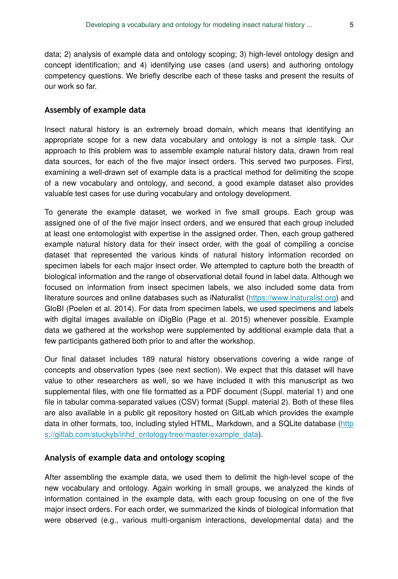data; 2) analysis of example data and ontology scoping; 3) high-level ontology design and concept identification; and 4) identifying use cases (and users) and authoring ontology competency questions. We briefly describe each of these tasks and present the results of our work so far.

#### **Assembly of example data**

Insect natural history is an extremely broad domain, which means that identifying an appropriate scope for a new data vocabulary and ontology is not a simple task. Our approach to this problem was to assemble example natural history data, drawn from real data sources, for each of the five major insect orders. This served two purposes. First, examining a well-drawn set of example data is a practical method for delimiting the scope of a new vocabulary and ontology, and second, a good example dataset also provides valuable test cases for use during vocabulary and ontology development.

To generate the example dataset, we worked in five small groups. Each group was assigned one of of the five major insect orders, and we ensured that each group included at least one entomologist with expertise in the assigned order. Then, each group gathered example natural history data for their insect order, with the goal of compiling a concise dataset that represented the various kinds of natural history information recorded on specimen labels for each major insect order. We attempted to capture both the breadth of biological information and the range of observational detail found in label data. Although we focused on information from insect specimen labels, we also included some data from literature sources and online databases such as iNaturalist [\(https://www.inaturalist.org\)](https://www.inaturalist.org/) and GloBI (Poelen et al. 2014). For data from specimen labels, we used specimens and labels with digital images available on iDigBio (Page et al. 2015) whenever possible. Example data we gathered at the workshop were supplemented by additional example data that a few participants gathered both prior to and after the workshop.

Our final dataset includes 189 natural history observations covering a wide range of concepts and observation types (see next section). We expect that this dataset will have value to other researchers as well, so we have included it with this manuscript as two supplemental files, with one file formatted as a PDF document (Suppl. material 1) and one file in tabular comma-separated values (CSV) format (Suppl. material 2). Both of these files are also available in a public git repository hosted on GitLab which provides the example data in other formats, too, including styled HTML, Markdown, and a SQLite database [\(http](https://gitlab.com/stuckyb/inhd_ontology/tree/master/example_data) [s://gitlab.com/stuckyb/inhd\\_ontology/tree/master/example\\_data](https://gitlab.com/stuckyb/inhd_ontology/tree/master/example_data)).

#### **Analysis of example data and ontology scoping**

After assembling the example data, we used them to delimit the high-level scope of the new vocabulary and ontology. Again working in small groups, we analyzed the kinds of information contained in the example data, with each group focusing on one of the five major insect orders. For each order, we summarized the kinds of biological information that were observed (e.g., various multi-organism interactions, developmental data) and the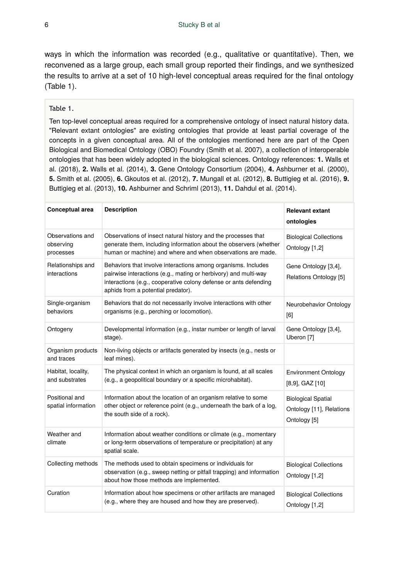ways in which the information was recorded (e.g., qualitative or quantitative). Then, we reconvened as a large group, each small group reported their findings, and we synthesized the results to arrive at a set of 10 high-level conceptual areas required for the final ontology (Table 1).

#### Table 1.

Ten top-level conceptual areas required for a comprehensive ontology of insect natural history data. "Relevant extant ontologies" are existing ontologies that provide at least partial coverage of the concepts in a given conceptual area. All of the ontologies mentioned here are part of the Open Biological and Biomedical Ontology (OBO) Foundry (Smith et al. 2007), a collection of interoperable ontologies that has been widely adopted in the biological sciences. Ontology references: **1.** Walls et al. (2018), **2.** Walls et al. (2014), **3.** Gene Ontology Consortium (2004), **4.** Ashburner et al. (2000), **5.** Smith et al. (2005), **6.** Gkoutos et al. (2012), **7.** Mungall et al. (2012), **8.** Buttigieg et al. (2016), **9.** Buttigieg et al. (2013), **10.** Ashburner and Schriml (2013), **11.** Dahdul et al. (2014).

| Conceptual area                            | <b>Description</b>                                                                                                                                                                                                                         | <b>Relevant extant</b><br>ontologies                                  |
|--------------------------------------------|--------------------------------------------------------------------------------------------------------------------------------------------------------------------------------------------------------------------------------------------|-----------------------------------------------------------------------|
| Observations and<br>observing<br>processes | Observations of insect natural history and the processes that<br>generate them, including information about the observers (whether<br>human or machine) and where and when observations are made.                                          | <b>Biological Collections</b><br>Ontology [1,2]                       |
| Relationships and<br>interactions          | Behaviors that involve interactions among organisms. Includes<br>pairwise interactions (e.g., mating or herbivory) and multi-way<br>interactions (e.g., cooperative colony defense or ants defending<br>aphids from a potential predator). | Gene Ontology [3,4],<br>Relations Ontology [5]                        |
| Single-organism<br>behaviors               | Behaviors that do not necessarily involve interactions with other<br>organisms (e.g., perching or locomotion).                                                                                                                             | Neurobehavior Ontology<br>[6]                                         |
| Ontogeny                                   | Developmental information (e.g., instar number or length of larval<br>stage).                                                                                                                                                              | Gene Ontology [3,4],<br>Uberon [7]                                    |
| Organism products<br>and traces            | Non-living objects or artifacts generated by insects (e.g., nests or<br>leaf mines).                                                                                                                                                       |                                                                       |
| Habitat, locality,<br>and substrates       | The physical context in which an organism is found, at all scales<br>(e.g., a geopolitical boundary or a specific microhabitat).                                                                                                           | <b>Environment Ontology</b><br>[8,9], GAZ [10]                        |
| Positional and<br>spatial information      | Information about the location of an organism relative to some<br>other object or reference point (e.g., underneath the bark of a log,<br>the south side of a rock).                                                                       | <b>Biological Spatial</b><br>Ontology [11], Relations<br>Ontology [5] |
| Weather and<br>climate                     | Information about weather conditions or climate (e.g., momentary<br>or long-term observations of temperature or precipitation) at any<br>spatial scale.                                                                                    |                                                                       |
| Collecting methods                         | The methods used to obtain specimens or individuals for<br>observation (e.g., sweep netting or pitfall trapping) and information<br>about how those methods are implemented.                                                               | <b>Biological Collections</b><br>Ontology [1,2]                       |
| Curation                                   | Information about how specimens or other artifacts are managed<br>(e.g., where they are housed and how they are preserved).                                                                                                                | <b>Biological Collections</b><br>Ontology [1,2]                       |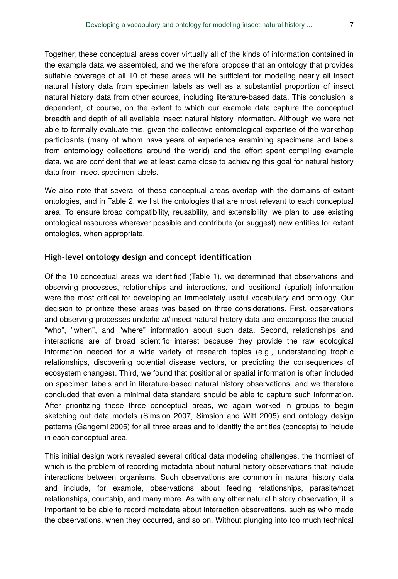Together, these conceptual areas cover virtually all of the kinds of information contained in the example data we assembled, and we therefore propose that an ontology that provides suitable coverage of all 10 of these areas will be sufficient for modeling nearly all insect natural history data from specimen labels as well as a substantial proportion of insect natural history data from other sources, including literature-based data. This conclusion is dependent, of course, on the extent to which our example data capture the conceptual breadth and depth of all available insect natural history information. Although we were not able to formally evaluate this, given the collective entomological expertise of the workshop participants (many of whom have years of experience examining specimens and labels from entomology collections around the world) and the effort spent compiling example data, we are confident that we at least came close to achieving this goal for natural history data from insect specimen labels.

We also note that several of these conceptual areas overlap with the domains of extant ontologies, and in Table 2, we list the ontologies that are most relevant to each conceptual area. To ensure broad compatibility, reusability, and extensibility, we plan to use existing ontological resources wherever possible and contribute (or suggest) new entities for extant ontologies, when appropriate.

#### **High-level ontology design and concept identification**

Of the 10 conceptual areas we identified (Table 1), we determined that observations and observing processes, relationships and interactions, and positional (spatial) information were the most critical for developing an immediately useful vocabulary and ontology. Our decision to prioritize these areas was based on three considerations. First, observations and observing processes underlie *all* insect natural history data and encompass the crucial "who", "when", and "where" information about such data. Second, relationships and interactions are of broad scientific interest because they provide the raw ecological information needed for a wide variety of research topics (e.g., understanding trophic relationships, discovering potential disease vectors, or predicting the consequences of ecosystem changes). Third, we found that positional or spatial information is often included on specimen labels and in literature-based natural history observations, and we therefore concluded that even a minimal data standard should be able to capture such information. After prioritizing these three conceptual areas, we again worked in groups to begin sketching out data models (Simsion 2007, Simsion and Witt 2005) and ontology design patterns (Gangemi 2005) for all three areas and to identify the entities (concepts) to include in each conceptual area.

This initial design work revealed several critical data modeling challenges, the thorniest of which is the problem of recording metadata about natural history observations that include interactions between organisms. Such observations are common in natural history data and include, for example, observations about feeding relationships, parasite/host relationships, courtship, and many more. As with any other natural history observation, it is important to be able to record metadata about interaction observations, such as who made the observations, when they occurred, and so on. Without plunging into too much technical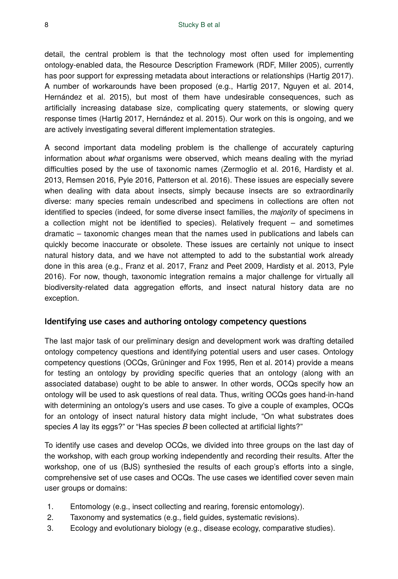detail, the central problem is that the technology most often used for implementing ontology-enabled data, the Resource Description Framework (RDF, Miller 2005), currently has poor support for expressing metadata about interactions or relationships (Hartig 2017). A number of workarounds have been proposed (e.g., Hartig 2017, Nguyen et al. 2014, Hernández et al. 2015), but most of them have undesirable consequences, such as artificially increasing database size, complicating query statements, or slowing query response times (Hartig 2017, Hernández et al. 2015). Our work on this is ongoing, and we are actively investigating several different implementation strategies.

A second important data modeling problem is the challenge of accurately capturing information about *what* organisms were observed, which means dealing with the myriad difficulties posed by the use of taxonomic names (Zermoglio et al. 2016, Hardisty et al. 2013, Remsen 2016, Pyle 2016, Patterson et al. 2016). These issues are especially severe when dealing with data about insects, simply because insects are so extraordinarily diverse: many species remain undescribed and specimens in collections are often not identified to species (indeed, for some diverse insect families, the *majority* of specimens in a collection might not be identified to species). Relatively frequent – and sometimes dramatic – taxonomic changes mean that the names used in publications and labels can quickly become inaccurate or obsolete. These issues are certainly not unique to insect natural history data, and we have not attempted to add to the substantial work already done in this area (e.g., Franz et al. 2017, Franz and Peet 2009, Hardisty et al. 2013, Pyle 2016). For now, though, taxonomic integration remains a major challenge for virtually all biodiversity-related data aggregation efforts, and insect natural history data are no exception.

#### **Identifying use cases and authoring ontology competency questions**

The last major task of our preliminary design and development work was drafting detailed ontology competency questions and identifying potential users and user cases. Ontology competency questions (OCQs, Grüninger and Fox 1995, Ren et al. 2014) provide a means for testing an ontology by providing specific queries that an ontology (along with an associated database) ought to be able to answer. In other words, OCQs specify how an ontology will be used to ask questions of real data. Thus, writing OCQs goes hand-in-hand with determining an ontology's users and use cases. To give a couple of examples, OCQs for an ontology of insect natural history data might include, "On what substrates does species *A* lay its eggs?" or "Has species *B* been collected at artificial lights?"

To identify use cases and develop OCQs, we divided into three groups on the last day of the workshop, with each group working independently and recording their results. After the workshop, one of us (BJS) synthesied the results of each group's efforts into a single, comprehensive set of use cases and OCQs. The use cases we identified cover seven main user groups or domains:

- 1. Entomology (e.g., insect collecting and rearing, forensic entomology).
- 2. Taxonomy and systematics (e.g., field guides, systematic revisions).
- 3. Ecology and evolutionary biology (e.g., disease ecology, comparative studies).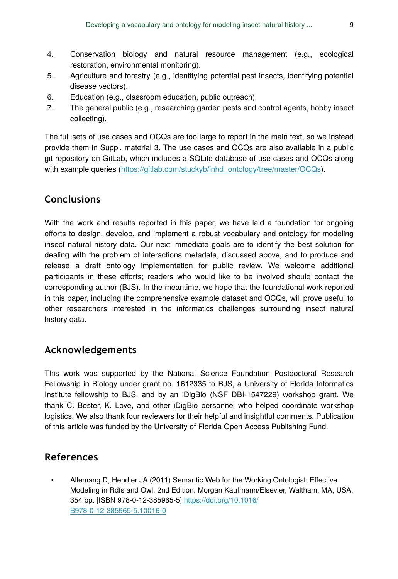- 4. Conservation biology and natural resource management (e.g., ecological restoration, environmental monitoring).
- 5. Agriculture and forestry (e.g., identifying potential pest insects, identifying potential disease vectors).
- 6. Education (e.g., classroom education, public outreach).
- 7. The general public (e.g., researching garden pests and control agents, hobby insect collecting).

The full sets of use cases and OCQs are too large to report in the main text, so we instead provide them in Suppl. material 3. The use cases and OCQs are also available in a public git repository on GitLab, which includes a SQLite database of use cases and OCQs along with example queries [\(https://gitlab.com/stuckyb/inhd\\_ontology/tree/master/OCQs\)](https://gitlab.com/stuckyb/inhd_ontology/tree/master/OCQs).

# **Conclusions**

With the work and results reported in this paper, we have laid a foundation for ongoing efforts to design, develop, and implement a robust vocabulary and ontology for modeling insect natural history data. Our next immediate goals are to identify the best solution for dealing with the problem of interactions metadata, discussed above, and to produce and release a draft ontology implementation for public review. We welcome additional participants in these efforts; readers who would like to be involved should contact the corresponding author (BJS). In the meantime, we hope that the foundational work reported in this paper, including the comprehensive example dataset and OCQs, will prove useful to other researchers interested in the informatics challenges surrounding insect natural history data.

# **Acknowledgements**

This work was supported by the National Science Foundation Postdoctoral Research Fellowship in Biology under grant no. 1612335 to BJS, a University of Florida Informatics Institute fellowship to BJS, and by an iDigBio (NSF DBI-1547229) workshop grant. We thank C. Bester, K. Love, and other iDigBio personnel who helped coordinate workshop logistics. We also thank four reviewers for their helpful and insightful comments. Publication of this article was funded by the University of Florida Open Access Publishing Fund.

# **References**

• Allemang D, Hendler JA (2011) Semantic Web for the Working Ontologist: Effective Modeling in Rdfs and Owl. 2nd Edition. Morgan Kaufmann/Elsevier, Waltham, MA, USA, 354 pp. [ISBN 978-0-12-385965-5] [https://doi.org/10.1016/](https://doi.org/10.1016/B978-0-12-385965-5.10016-0) [B978-0-12-385965-5.10016-0](https://doi.org/10.1016/B978-0-12-385965-5.10016-0)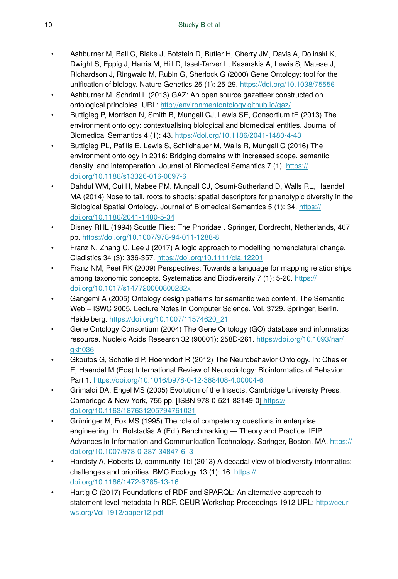- Ashburner M, Ball C, Blake J, Botstein D, Butler H, Cherry JM, Davis A, Dolinski K, Dwight S, Eppig J, Harris M, Hill D, Issel-Tarver L, Kasarskis A, Lewis S, Matese J, Richardson J, Ringwald M, Rubin G, Sherlock G (2000) Gene Ontology: tool for the unification of biology. Nature Genetics 25 (1): 25‑29. <https://doi.org/10.1038/75556>
- Ashburner M, Schriml L (2013) GAZ: An open source gazetteer constructed on ontological principles. URL:<http://environmentontology.github.io/gaz/>
- Buttigieg P, Morrison N, Smith B, Mungall CJ, Lewis SE, Consortium tE (2013) The environment ontology: contextualising biological and biomedical entities. Journal of Biomedical Semantics 4 (1): 43. <https://doi.org/10.1186/2041-1480-4-43>
- Buttigieg PL, Pafilis E, Lewis S, Schildhauer M, Walls R, Mungall C (2016) The environment ontology in 2016: Bridging domains with increased scope, semantic density, and interoperation. Journal of Biomedical Semantics 7 (1). [https://](https://doi.org/10.1186/s13326-016-0097-6) [doi.org/10.1186/s13326-016-0097-6](https://doi.org/10.1186/s13326-016-0097-6)
- Dahdul WM, Cui H, Mabee PM, Mungall CJ, Osumi-Sutherland D, Walls RL, Haendel MA (2014) Nose to tail, roots to shoots: spatial descriptors for phenotypic diversity in the Biological Spatial Ontology. Journal of Biomedical Semantics 5 (1): 34. [https://](https://doi.org/10.1186/2041-1480-5-34) [doi.org/10.1186/2041-1480-5-34](https://doi.org/10.1186/2041-1480-5-34)
- Disney RHL (1994) Scuttle Flies: The Phoridae . Springer, Dordrecht, Netherlands, 467 pp[. https://doi.org/10.1007/978-94-011-1288-8](https://doi.org/10.1007/978-94-011-1288-8)
- Franz N, Zhang C, Lee J (2017) A logic approach to modelling nomenclatural change. Cladistics 34 (3): 336‑357. <https://doi.org/10.1111/cla.12201>
- Franz NM, Peet RK (2009) Perspectives: Towards a language for mapping relationships among taxonomic concepts. Systematics and Biodiversity 7 (1): 5-20. [https://](https://doi.org/10.1017/s147720000800282x) [doi.org/10.1017/s147720000800282x](https://doi.org/10.1017/s147720000800282x)
- Gangemi A (2005) Ontology design patterns for semantic web content. The Semantic Web – ISWC 2005. Lecture Notes in Computer Science. Vol. 3729. Springer, Berlin, Heidelberg[. https://doi.org/10.1007/11574620\\_21](https://doi.org/10.1007/11574620_21)
- Gene Ontology Consortium (2004) The Gene Ontology (GO) database and informatics resource. Nucleic Acids Research 32 (90001): 258D‑261. [https://doi.org/10.1093/nar/](https://doi.org/10.1093/nar/gkh036) [gkh036](https://doi.org/10.1093/nar/gkh036)
- Gkoutos G, Schofield P, Hoehndorf R (2012) The Neurobehavior Ontology. In: Chesler E, Haendel M (Eds) International Review of Neurobiology: Bioinformatics of Behavior: Part 1.<https://doi.org/10.1016/b978-0-12-388408-4.00004-6>
- Grimaldi DA, Engel MS (2005) Evolution of the Insects. Cambridge University Press, Cambridge & New York, 755 pp. [ISBN 978-0-521-82149-0[\] https://](https://doi.org/10.1163/187631205794761021) [doi.org/10.1163/187631205794761021](https://doi.org/10.1163/187631205794761021)
- Grüninger M, Fox MS (1995) The role of competency questions in enterprise engineering. In: Rolstadås A (Ed.) Benchmarking — Theory and Practice. IFIP Advances in Information and Communication Technology. Springer, Boston, MA[. https://](https://doi.org/10.1007/978-0-387-34847-6_3) [doi.org/10.1007/978-0-387-34847-6\\_3](https://doi.org/10.1007/978-0-387-34847-6_3)
- Hardisty A, Roberts D, community Tbi (2013) A decadal view of biodiversity informatics: challenges and priorities. BMC Ecology 13 (1): 16. [https://](https://doi.org/10.1186/1472-6785-13-16) [doi.org/10.1186/1472-6785-13-16](https://doi.org/10.1186/1472-6785-13-16)
- Hartig O (2017) Foundations of RDF and SPARQL: An alternative approach to statement-level metadata in RDF. CEUR Workshop Proceedings 1912 URL: [http://ceur](http://ceur-ws.org/Vol-1912/paper12.pdf)[ws.org/Vol-1912/paper12.pdf](http://ceur-ws.org/Vol-1912/paper12.pdf)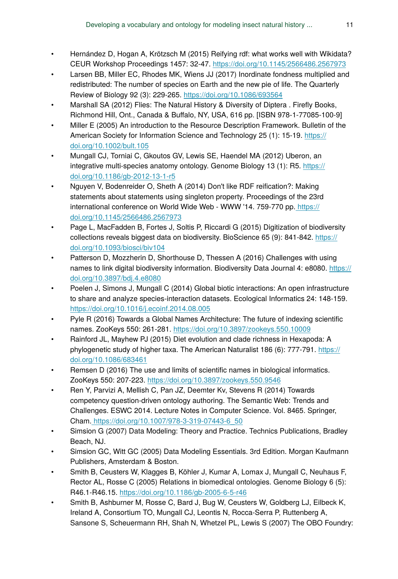- Hernández D, Hogan A, Krötzsch M (2015) Reifying rdf: what works well with Wikidata? CEUR Workshop Proceedings 1457: 32‑47. <https://doi.org/10.1145/2566486.2567973>
- Larsen BB, Miller EC, Rhodes MK, Wiens JJ (2017) Inordinate fondness multiplied and redistributed: The number of species on Earth and the new pie of life. The Quarterly Review of Biology 92 (3): 229‑265. <https://doi.org/10.1086/693564>
- Marshall SA (2012) Flies: The Natural History & Diversity of Diptera . Firefly Books, Richmond Hill, Ont., Canada & Buffalo, NY, USA, 616 pp. [ISBN 978-1-77085-100-9]
- Miller E (2005) An introduction to the Resource Description Framework. Bulletin of the American Society for Information Science and Technology 25 (1): 15-19. [https://](https://doi.org/10.1002/bult.105) [doi.org/10.1002/bult.105](https://doi.org/10.1002/bult.105)
- Mungall CJ, Torniai C, Gkoutos GV, Lewis SE, Haendel MA (2012) Uberon, an integrative multi-species anatomy ontology. Genome Biology 13 (1): R5. [https://](https://doi.org/10.1186/gb-2012-13-1-r5) [doi.org/10.1186/gb-2012-13-1-r5](https://doi.org/10.1186/gb-2012-13-1-r5)
- Nguyen V, Bodenreider O, Sheth A (2014) Don't like RDF reification?: Making statements about statements using singleton property. Proceedings of the 23rd international conference on World Wide Web - WWW '14. 759-770 pp[. https://](https://doi.org/10.1145/2566486.2567973) [doi.org/10.1145/2566486.2567973](https://doi.org/10.1145/2566486.2567973)
- Page L, MacFadden B, Fortes J, Soltis P, Riccardi G (2015) Digitization of biodiversity collections reveals biggest data on biodiversity. BioScience 65 (9): 841-842. [https://](https://doi.org/10.1093/biosci/biv104) [doi.org/10.1093/biosci/biv104](https://doi.org/10.1093/biosci/biv104)
- Patterson D, Mozzherin D, Shorthouse D, Thessen A (2016) Challenges with using names to link digital biodiversity information. Biodiversity Data Journal 4: e8080. [https://](https://doi.org/10.3897/bdj.4.e8080) [doi.org/10.3897/bdj.4.e8080](https://doi.org/10.3897/bdj.4.e8080)
- Poelen J, Simons J, Mungall C (2014) Global biotic interactions: An open infrastructure to share and analyze species-interaction datasets. Ecological Informatics 24: 148‑159. <https://doi.org/10.1016/j.ecoinf.2014.08.005>
- Pyle R (2016) Towards a Global Names Architecture: The future of indexing scientific names. ZooKeys 550: 261‑281. <https://doi.org/10.3897/zookeys.550.10009>
- Rainford JL, Mayhew PJ (2015) Diet evolution and clade richness in Hexapoda: A phylogenetic study of higher taxa. The American Naturalist 186 (6): 777-791. [https://](https://doi.org/10.1086/683461) [doi.org/10.1086/683461](https://doi.org/10.1086/683461)
- Remsen D (2016) The use and limits of scientific names in biological informatics. ZooKeys 550: 207‑223.<https://doi.org/10.3897/zookeys.550.9546>
- Ren Y, Parvizi A, Mellish C, Pan JZ, Deemter Kv, Stevens R (2014) Towards competency question-driven ontology authoring. The Semantic Web: Trends and Challenges. ESWC 2014. Lecture Notes in Computer Science. Vol. 8465. Springer, Cham. [https://doi.org/10.1007/978-3-319-07443-6\\_50](https://doi.org/10.1007/978-3-319-07443-6_50)
- Simsion G (2007) Data Modeling: Theory and Practice. Technics Publications, Bradley Beach, NJ.
- Simsion GC, Witt GC (2005) Data Modeling Essentials. 3rd Edition. Morgan Kaufmann Publishers, Amsterdam & Boston.
- Smith B, Ceusters W, Klagges B, Köhler J, Kumar A, Lomax J, Mungall C, Neuhaus F, Rector AL, Rosse C (2005) Relations in biomedical ontologies. Genome Biology 6 (5): R46.1‑R46.15.<https://doi.org/10.1186/gb-2005-6-5-r46>
- Smith B, Ashburner M, Rosse C, Bard J, Bug W, Ceusters W, Goldberg LJ, Eilbeck K, Ireland A, Consortium TO, Mungall CJ, Leontis N, Rocca-Serra P, Ruttenberg A, Sansone S, Scheuermann RH, Shah N, Whetzel PL, Lewis S (2007) The OBO Foundry: